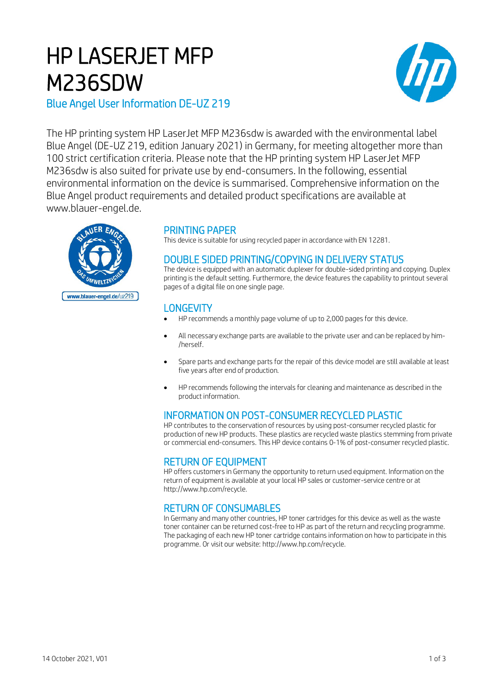# HP LASERJET MFP M236SDW



Blue Angel User Information DE-UZ 219

The HP printing system HP LaserJet MFP M236sdw is awarded with the environmental label Blue Angel (DE-UZ 219, edition January 2021) in Germany, for meeting altogether more than 100 strict certification criteria. Please note that the HP printing system HP LaserJet MFP M236sdw is also suited for private use by end-consumers. In the following, essential environmental information on the device is summarised. Comprehensive information on the Blue Angel product requirements and detailed product specifications are available at www.blauer-engel.de.



## PRINTING PAPER

This device is suitable for using recycled paper in accordance with EN 12281.

## DOUBLE SIDED PRINTING/COPYING IN DELIVERY STATUS

The device is equipped with an automatic duplexer for double-sided printing and copying. Duplex printing is the default setting. Furthermore, the device features the capability to printout several pages of a digital file on one single page.

# **LONGEVITY**

- HP recommends a monthly page volume of up to 2,000 pages for this device.
- All necessary exchange parts are available to the private user and can be replaced by him- /herself.
- Spare parts and exchange parts for the repair of this device model are still available at least five years after end of production.
- HP recommends following the intervals for cleaning and maintenance as described in the product information.

# INFORMATION ON POST-CONSUMER RECYCLED PLASTIC

HP contributes to the conservation of resources by using post-consumer recycled plastic for production of new HP products. These plastics are recycled waste plastics stemming from private or commercial end-consumers. This HP device contains 0-1% of post-consumer recycled plastic.

## RETURN OF EQUIPMENT

HP offers customers in Germany the opportunity to return used equipment. Information on the return of equipment is available at your local HP sales or customer-service centre or at http://www.hp.com/recycle.

# RETURN OF CONSUMABLES

In Germany and many other countries, HP toner cartridges for this device as well as the waste toner container can be returned cost-free to HP as part of the return and recycling programme. The packaging of each new HP toner cartridge contains information on how to participate in this programme. Or visit our website: http://www.hp.com/recycle.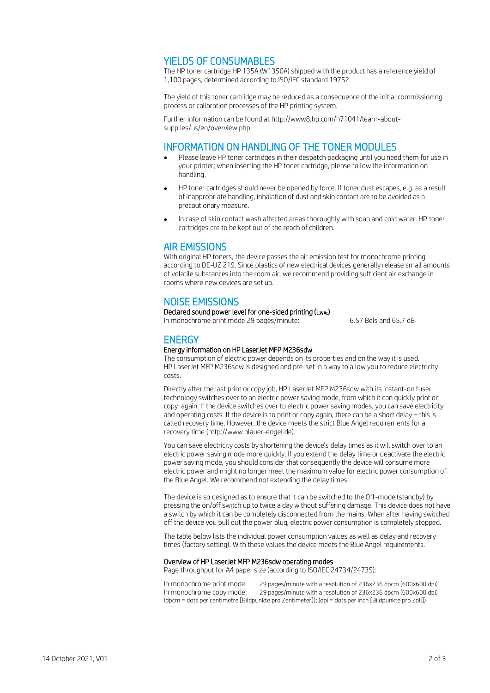## YIELDS OF CONSUMABLES

The HP toner cartridge HP 135A (W1350A) shipped with the product has a reference yield of 1,100 pages, determined according to ISO/IEC standard 19752.

The yield of this toner cartridge may be reduced as a consequence of the initial commissioning process or calibration processes of the HP printing system.

Further information can be found at http://www8.hp.com/h71041/learn-aboutsupplies/us/en/overview.php.

### INFORMATION ON HANDLING OF THE TONER MODULES

- Please leave HP toner cartridges in their despatch packaging until you need them for use in your printer; when inserting the HP toner cartridge, please follow the information on handling.
- HP toner cartridges should never be opened by force. If toner dust escapes, e.g. as a result of inappropriate handling, inhalation of dust and skin contact are to be avoided as a precautionary measure.
- In case of skin contact wash affected areas thoroughly with soap and cold water. HP toner cartridges are to be kept out of the reach of children.

## AIR EMISSIONS

With original HP toners, the device passes the air emission test for monochrome printing according to DE-UZ 219. Since plastics of new electrical devices generally release small amounts of volatile substances into the room air, we recommend providing sufficient air exchange in rooms where new devices are set up.

## NOISE EMISSIONS

#### Declared sound power level for one-sided printing (LwAc)

In monochrome print mode 29 pages/minute: 6.57 Bels and 65.7 dB

## **ENERGY**

#### Energy information on HP LaserJet MFP M236sdw

The consumption of electric power depends on its properties and on the way it is used. HP LaserJet MFP M236sdw is designed and pre-set in a way to allow you to reduce electricity costs.

Directly after the last print or copy job, HP LaserJet MFP M236sdw with its instant-on fuser technology switches over to an electric power saving mode, from which it can quickly print or copy again. If the device switches over to electric power saving modes, you can save electricity and operating costs. If the device is to print or copy again, there can be a short delay – this is called recovery time. However, the device meets the strict Blue Angel requirements for a recovery time (http://www.blauer-engel.de).

You can save electricity costs by shortening the device's delay times as it will switch over to an electric power saving mode more quickly. If you extend the delay time or deactivate the electric power saving mode, you should consider that consequently the device will consume more electric power and might no longer meet the maximum value for electric power consumption of the Blue Angel. We recommend not extending the delay times.

The device is so designed as to ensure that it can be switched to the Off-mode (standby) by pressing the on/off switch up to twice a day without suffering damage. This device does not have a switch by which it can be completely disconnected from the mains. When after having switched off the device you pull out the power plug, electric power consumption is completely stopped.

The table below lists the individual power consumption values as well as delay and recovery times (factory setting). With these values the device meets the Blue Angel requirements.

#### Overview of HP LaserJet MFP M236sdw operating modes

Page throughput for A4 paper size (according to ISO/IEC 24734/24735):

In monochrome print mode: 29 pages/minute with a resolution of 236x236 dpcm (600x600 dpi) In monochrome copy mode: 29 pages/minute with a resolution of 236x236 dpcm (600x600 dpi) (dpcm = dots per centimetre [Bildpunkte pro Zentimeter]); (dpi = dots per inch [Bildpunkte pro Zoll])